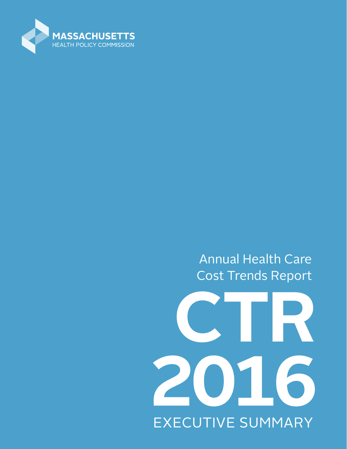

Annual Health Care Cost Trends Report

# **CTR 2016** EXECUTIVE SUMMARY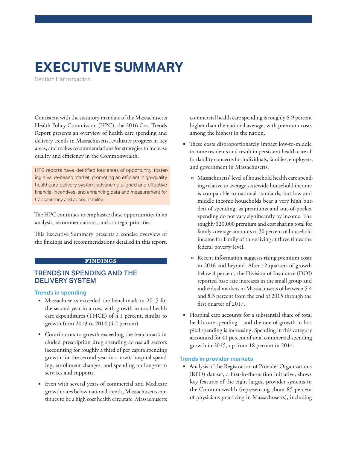# **EXECUTIVE SUMMARY**

Section I: Introduction

Consistent with the statutory mandate of the Massachusetts Health Policy Commission (HPC), the 2016 Cost Trends Report presents an overview of health care spending and delivery trends in Massachusetts, evaluates progress in key areas, and makes recommendations for strategies to increase quality and efficiency in the Commonwealth.

HPC reports have identified four areas of opportunity: fostering a value-based market; promoting an efficient, high-quality healthcare delivery system; advancing aligned and effective financial incentives; and enhancing data and measurement for transparency and accountability.

The HPC continues to emphasize these opportunities in its analysis, recommendations, and strategic priorities.

This Executive Summary presents a concise overview of the findings and recommendations detailed in this report.

#### **FINDINGS**

### TRENDS IN SPENDING AND THE DELIVERY SYSTEM

#### **Trends in spending**

- **Massachusetts exceeded the benchmark in 2015 for** the second year in a row, with growth in total health care expenditures (THCE) of 4.1 percent, similar to growth from 2013 to 2014 (4.2 percent).
- Contributors to growth exceeding the benchmark included prescription drug spending across all sectors (accounting for roughly a third of per capita spending growth for the second year in a row), hospital spending, enrollment changes, and spending on long-term services and supports.
- Even with several years of commercial and Medicare growth rates below national trends, Massachusetts continues to be a high cost health care state. Massachusetts

commercial health care spending is roughly 6-9 percent higher than the national average, with premium costs among the highest in the nation.

- **EXEC** These costs disproportionately impact low-to-middle income residents and result in persistent health care affordability concerns for individuals, families, employers, and government in Massachusetts.
	- Massachusetts' level of household health care spending relative to average statewide household income is comparable to national standards, but low and middle income households bear a very high burden of spending, as premiums and out-of-pocket spending do not vary significantly by income. The roughly \$20,000 premium and cost sharing total for family coverage amounts to 30 percent of household income for family of three living at three times the federal poverty level.
	- Recent information suggests rising premium costs in 2016 and beyond. After 12 quarters of growth below 4 percent, the Division of Insurance (DOI) reported base rate increases in the small group and individual markets in Massachusetts of between 5.4 and 8.3 percent from the end of 2015 through the first quarter of 2017.
- Hospital care accounts for a substantial share of total health care spending – and the rate of growth in hospital spending is increasing. Spending in this category accounted for 41 percent of total commercial spending growth in 2015, up from 18 percent in 2014.

#### **Trends in provider markets**

 Analysis of the Registration of Provider Organizations (RPO) dataset, a first-in-the-nation initiative, shows key features of the eight largest provider systems in the Commonwealth (representing about 85 percent of physicians practicing in Massachusetts), including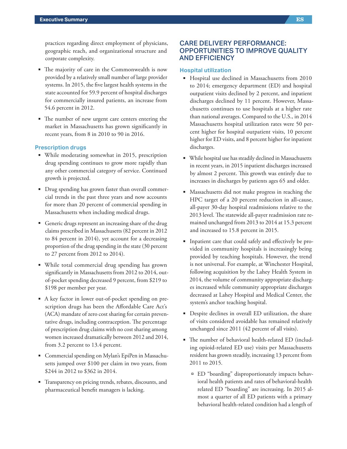practices regarding direct employment of physicians, geographic reach, and organizational structure and corporate complexity.

- The majority of care in the Commonwealth is now provided by a relatively small number of large provider systems. In 2015, the five largest health systems in the state accounted for 59.9 percent of hospital discharges for commercially insured patients, an increase from 54.6 percent in 2012.
- The number of new urgent care centers entering the market in Massachusetts has grown significantly in recent years, from 8 in 2010 to 90 in 2016.

#### **Prescription drugs**

- While moderating somewhat in 2015, prescription drug spending continues to grow more rapidly than any other commercial category of service. Continued growth is projected.
- Drug spending has grown faster than overall commercial trends in the past three years and now accounts for more than 20 percent of commercial spending in Massachusetts when including medical drugs.
- Generic drugs represent an increasing share of the drug claims prescribed in Massachusetts (82 percent in 2012 to 84 percent in 2014), yet account for a decreasing proportion of the drug spending in the state (30 percent to 27 percent from 2012 to 2014).
- While total commercial drug spending has grown significantly in Massachusetts from 2012 to 2014, outof-pocket spending decreased 9 percent, from \$219 to \$198 per member per year.
- A key factor in lower out-of-pocket spending on prescription drugs has been the Affordable Care Act's (ACA) mandate of zero cost sharing for certain preventative drugs, including contraception. The percentage of prescription drug claims with no cost sharing among women increased dramatically between 2012 and 2014, from 3.2 percent to 13.4 percent.
- Commercial spending on Mylan's EpiPen in Massachusetts jumped over \$100 per claim in two years, from \$244 in 2012 to \$362 in 2014.
- Transparency on pricing trends, rebates, discounts, and pharmaceutical benefit managers is lacking.

# CARE DELIVERY PERFORMANCE: OPPORTUNITIES TO IMPROVE QUALITY AND EFFICIENCY

#### **Hospital utilization**

- Hospital use declined in Massachusetts from 2010 to 2014; emergency department (ED) and hospital outpatient visits declined by 2 percent, and inpatient discharges declined by 11 percent. However, Massachusetts continues to use hospitals at a higher rate than national averages. Compared to the U.S., in 2014 Massachusetts hospital utilization rates were 50 percent higher for hospital outpatient visits, 10 percent higher for ED visits, and 8 percent higher for inpatient discharges.
- While hospital use has steadily declined in Massachusetts in recent years, in 2015 inpatient discharges increased by almost 2 percent. This growth was entirely due to increases in discharges by patients ages 65 and older.
- Massachusetts did not make progress in reaching the HPC target of a 20 percent reduction in all-cause, all-payer 30-day hospital readmissions relative to the 2013 level. The statewide all-payer readmission rate remained unchanged from 2013 to 2014 at 15.3 percent and increased to 15.8 percent in 2015.
- Inpatient care that could safely and effectively be provided in community hospitals is increasingly being provided by teaching hospitals. However, the trend is not universal. For example, at Winchester Hospital, following acquisition by the Lahey Health System in 2014, the volume of community appropriate discharges increased while community appropriate discharges decreased at Lahey Hospital and Medical Center, the system's anchor teaching hospital.
- Despite declines in overall ED utilization, the share of visits considered avoidable has remained relatively unchanged since 2011 (42 percent of all visits).
- e number of behavioral health-related ED (including opioid-related ED use) visits per Massachusetts resident has grown steadily, increasing 13 percent from 2011 to 2015.
	- ED "boarding" disproportionately impacts behavioral health patients and rates of behavioral-health related ED "boarding" are increasing. In 2015 almost a quarter of all ED patients with a primary behavioral health-related condition had a length of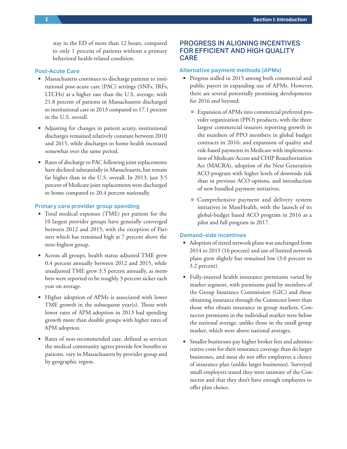stay in the ED of more than 12 hours, compared to only 1 percent of patients without a primary behavioral health-related condition.

#### **Post-Acute Care**

- **Massachusetts continues to discharge patients to insti**tutional post-acute care (PAC) settings (SNFs, IRFs, LTCHs) at a higher rate than the U.S. average, with 21.8 percent of patients in Massachusetts discharged to institutional care in 2013 compared to 17.1 percent in the U.S. overall.
- Adjusting for changes in patient acuity, institutional discharges remained relatively constant between 2010 and 2015, while discharges to home health increased somewhat over the same period.
- Rates of discharge to PAC following joint replacements have declined substantially in Massachusetts, but remain far higher than in the U.S. overall. In 2013, just 3.5 percent of Medicare joint replacements were discharged to home compared to 20.4 percent nationally.

#### **Primary care provider group spending**

- Total medical expenses (TME) per patient for the 10 largest provider groups have generally converged between 2012 and 2015, with the exception of Partners which has remained high at 7 percent above the next-highest group.
- Across all groups, health status adjusted TME grew 0.4 percent annually between 2012 and 2015, while unadjusted TME grew 3.5 percent annually, as members were reported to be roughly 3 percent sicker each year on average.
- Higher adoption of APMs is associated with lower TME growth in the subsequent year(s). Those with lower rates of APM adoption in 2013 had spending growth more than double groups with higher rates of APM adoption.
- Rates of non-recommended care, defined as services the medical community agrees provide few benefits to patients, vary in Massachusetts by provider group and by geographic region.

# PROGRESS IN ALIGNING INCENTIVES FOR EFFICIENT AND HIGH QUALITY CARE

#### **Alternative payment methods (APMs)**

- **Progress stalled in 2015 among both commercial and** public payers in expanding use of APMs. However, there are several potentially promising developments for 2016 and beyond:
	- Expansion of APMs into commercial preferred provider organization (PPO) products, with the three largest commercial insurers reporting growth in the numbers of PPO members in global budget contracts in 2016; and expansion of quality and risk-based payments in Medicare with implementation of Medicare Access and CHIP Reauthorization Act (MACRA), adoption of the Next Generation ACO program with higher levels of downside risk than in previous ACO options, and introduction of new bundled payment initiatives.
	- Comprehensive payment and delivery system initiatives in MassHealth, with the launch of its global-budget based ACO program in 2016 as a pilot and full program in 2017.

#### **Demand-side incentives**

- Adoption of tiered network plans was unchanged from 2014 to 2015 (16 percent) and use of limited network plans grew slightly but remained low (3.0 percent to 3.2 percent).
- Fully-insured health insurance premiums varied by market segment, with premiums paid by members of the Group Insurance Commission (GIC) and those obtaining insurance through the Connector lower than those who obtain insurance in group markets. Connector premiums in the individual market were below the national average, unlike those in the small group market, which were above national averages.
- Smaller businesses pay higher broker fees and administrative costs for their insurance coverage than do larger businesses, and most do not offer employees a choice of insurance plan (unlike larger businesses). Surveyed small employers stated they were unaware of the Connector and that they don't have enough employees to offer plan choice.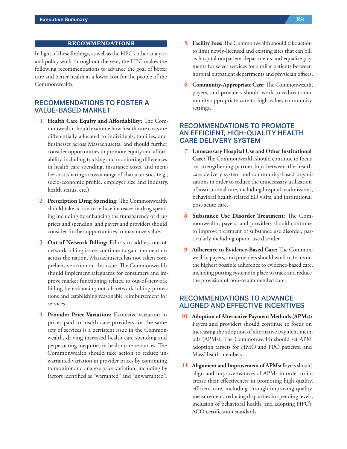In light of these findings, as well as the HPC's other analytic and policy work throughout the year, the HPC makes the following recommendations to advance the goal of better care and better health at a lower cost for the people of the Commonwealth.

# RECOMMENDATIONS TO FOSTER A **VALUE-BASED MARKET**

- **1 Health Care Equity and Affordability:** The Commonwealth should examine how health care costs are differentially allocated to individuals, families, and businesses across Massachusetts, and should further consider opportunities to promote equity and affordability, including tracking and monitoring differences in health care spending, insurance costs, and member cost-sharing across a range of characteristics (e.g., socio-economic profile, employer size and industry, health status, etc.).
- **2 Prescription Drug Spending:** The Commonwealth should take action to reduce increases in drug spending including by enhancing the transparency of drug prices and spending, and payers and providers should consider further opportunities to maximize value.
- 3 Out-of-Network Billing: Efforts to address out-ofnetwork billing issues continue to gain momentum across the nation. Massachusetts has not taken comprehensive action on this issue. The Commonwealth should implement safeguards for consumers and improve market functioning related to out-of-network billing by enhancing out-of-network billing protections and establishing reasonable reimbursement for services.
- **4 Provider Price Variation:** Extensive variation in prices paid to health care providers for the same sets of services is a persistent issue in the Commonwealth, driving increased health care spending and perpetuating inequities in health care resources. The Commonwealth should take action to reduce unwarranted variation in provider prices by continuing to monitor and analyze price variation, including by factors identified as "warranted" and "unwarranted".
- **Facility Fees:** The Commonwealth should take action to limit newly-licensed and existing sites that can bill as hospital outpatient departments and equalize payments for select services for similar patients between hospital outpatient departments and physician offices.
- **6 Community-Appropriate Care:** The Commonwealth, payers, and providers should work to redirect community-appropriate care to high value, community settings.

# RECOMMENDATIONS TO PROMOTE AN EFFICIENT, HIGH-QUALITY HEALTH CARE DELIVERY SYSTEM

- **7 Unnecessary Hospital Use and Other Institutional Care:** The Commonwealth should continue to focus on strengthening partnerships between the health care delivery system and community-based organizations in order to reduce the unnecessary utilization of institutional care, including hospital readmissions, behavioral health-related ED visits, and institutional post-acute care.
- **8 Substance Use Disorder Treatment:** The Commonwealth, payers, and providers should continue to improve treatment of substance use disorder, particularly including opioid use disorder.
- **9 Adherence to Evidence-Based Care:** The Commonwealth, payers, and providers should work to focus on the highest possible adherence to evidence-based care, including putting systems in place to track and reduce the provision of non-recommended care.

## RECOMMENDATIONS TO ADVANCE ALIGNED AND EFFECTIVE INCENTIVES

- **10 Adoption of Alternative Payment Methods (APMs):** Payers and providers should continue to focus on increasing the adoption of alternative payment methods (APMs). The Commonwealth should set APM adoption targets for HMO and PPO patients, and MassHealth members.
- **11 Alignment and Improvement of APMs:** Payers should align and improve features of APMs in order to increase their effectiveness in promoting high quality, efficient care, including through improving quality measurement, reducing disparities in spending levels, inclusion of behavioral health, and adopting HPC's ACO certification standards.